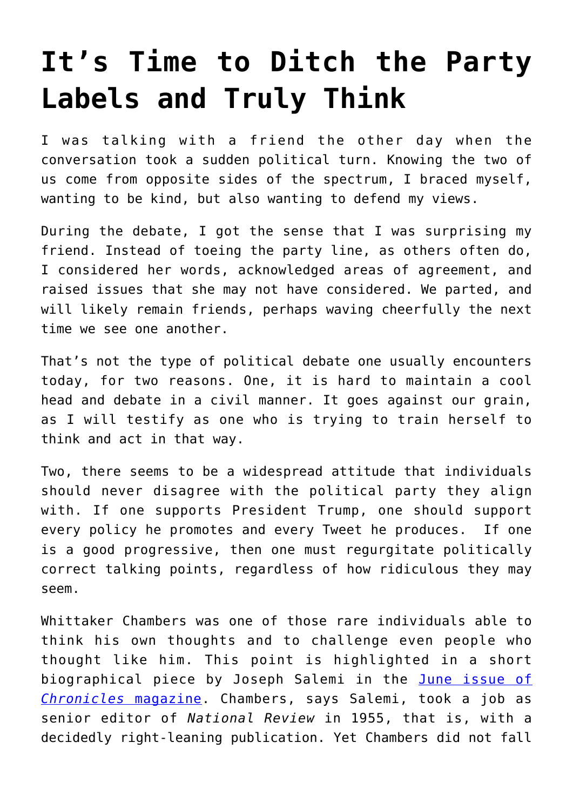## **[It's Time to Ditch the Party](https://intellectualtakeout.org/2020/05/its-time-to-ditch-the-party-labels-and-truly-think/) [Labels and Truly Think](https://intellectualtakeout.org/2020/05/its-time-to-ditch-the-party-labels-and-truly-think/)**

I was talking with a friend the other day when the conversation took a sudden political turn. Knowing the two of us come from opposite sides of the spectrum, I braced myself, wanting to be kind, but also wanting to defend my views.

During the debate, I got the sense that I was surprising my friend. Instead of toeing the party line, as others often do, I considered her words, acknowledged areas of agreement, and raised issues that she may not have considered. We parted, and will likely remain friends, perhaps waving cheerfully the next time we see one another.

That's not the type of political debate one usually encounters today, for two reasons. One, it is hard to maintain a cool head and debate in a civil manner. It goes against our grain, as I will testify as one who is trying to train herself to think and act in that way.

Two, there seems to be a widespread attitude that individuals should never disagree with the political party they align with. If one supports President Trump, one should support every policy he promotes and every Tweet he produces. If one is a good progressive, then one must regurgitate politically correct talking points, regardless of how ridiculous they may seem.

Whittaker Chambers was one of those rare individuals able to think his own thoughts and to challenge even people who thought like him. This point is highlighted in a short biographical piece by Joseph Salemi in the [June issue of](https://www.chroniclesmagazine.org/2020/June/44/5/magazine/article/10885701/) *[Chronicles](https://www.chroniclesmagazine.org/2020/June/44/5/magazine/article/10885701/)* [magazine.](https://www.chroniclesmagazine.org/2020/June/44/5/magazine/article/10885701/) Chambers, says Salemi, took a job as senior editor of *National Review* in 1955, that is, with a decidedly right-leaning publication. Yet Chambers did not fall